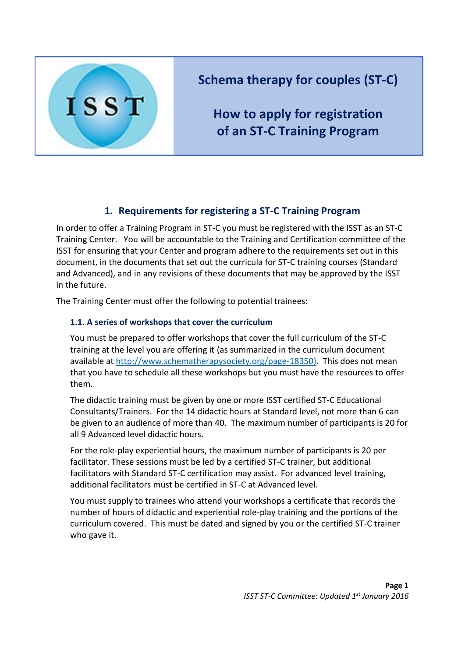

# **Schema therapy for couples (ST-C)**

**How to apply for registration of an ST-C Training Program**

## **1. Requirements for registering a ST-C Training Program**

In order to offer a Training Program in ST-C you must be registered with the ISST as an ST-C Training Center. You will be accountable to the Training and Certification committee of the ISST for ensuring that your Center and program adhere to the requirements set out in this document, in the documents that set out the curricula for ST-C training courses (Standard and Advanced), and in any revisions of these documents that may be approved by the ISST in the future.

The Training Center must offer the following to potential trainees:

### **1.1. A series of workshops that cover the curriculum**

You must be prepared to offer workshops that cover the full curriculum of the ST-C training at the level you are offering it (as summarized in the curriculum document available at [http://www.schematherapysociety.org/page-18350\)](http://www.schematherapysociety.org/page-18350). This does not mean that you have to schedule all these workshops but you must have the resources to offer them.

The didactic training must be given by one or more ISST certified ST-C Educational Consultants/Trainers. For the 14 didactic hours at Standard level, not more than 6 can be given to an audience of more than 40. The maximum number of participants is 20 for all 9 Advanced level didactic hours.

For the role-play experiential hours, the maximum number of participants is 20 per facilitator. These sessions must be led by a certified ST-C trainer, but additional facilitators with Standard ST-C certification may assist. For advanced level training, additional facilitators must be certified in ST-C at Advanced level.

You must supply to trainees who attend your workshops a certificate that records the number of hours of didactic and experiential role-play training and the portions of the curriculum covered. This must be dated and signed by you or the certified ST-C trainer who gave it.